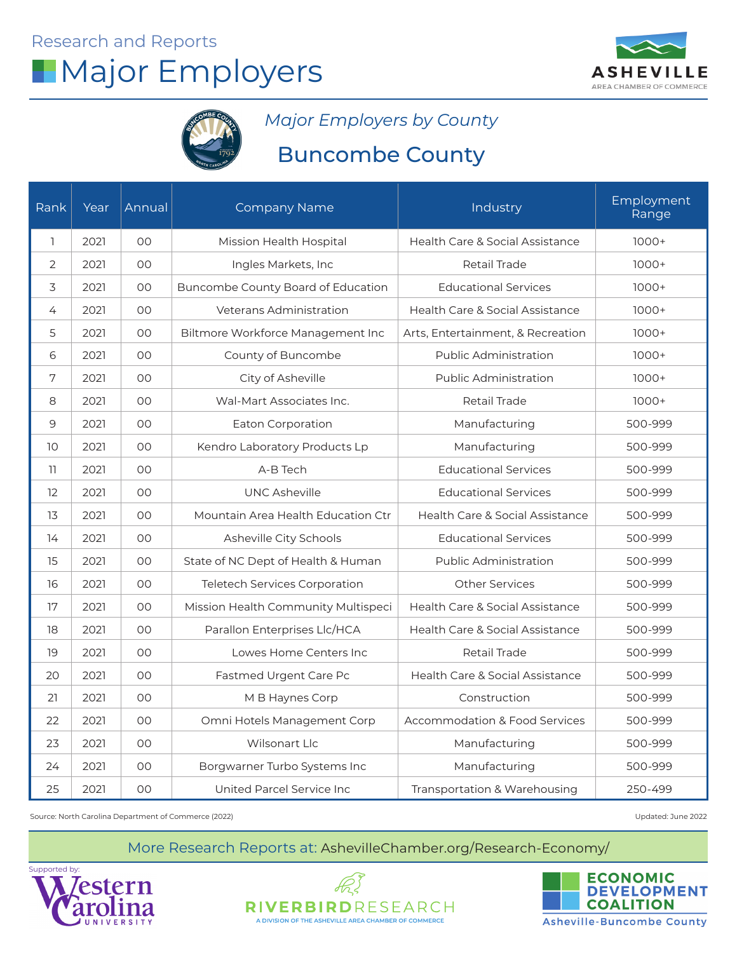



*Major Employers by County*

## Buncombe County

| Rank            | Year | Annual | <b>Company Name</b>                 | Industry                                 | Employment<br>Range |
|-----------------|------|--------|-------------------------------------|------------------------------------------|---------------------|
| $\mathbb{I}$    | 2021 | 00     | Mission Health Hospital             | Health Care & Social Assistance          | $1000+$             |
| 2               | 2021 | 00     | Ingles Markets, Inc                 | Retail Trade                             | $1000+$             |
| 3               | 2021 | OO.    | Buncombe County Board of Education  | <b>Educational Services</b>              | $1000+$             |
| $\overline{4}$  | 2021 | 00     | Veterans Administration             | Health Care & Social Assistance          | $1000+$             |
| 5               | 2021 | OO.    | Biltmore Workforce Management Inc   | Arts, Entertainment, & Recreation        | $1000+$             |
| 6               | 2021 | 00     | County of Buncombe                  | <b>Public Administration</b>             | $1000+$             |
| 7               | 2021 | OO     | City of Asheville                   | <b>Public Administration</b>             | $1000+$             |
| 8               | 2021 | OO.    | Wal-Mart Associates Inc.            | <b>Retail Trade</b>                      | $1000+$             |
| 9               | 2021 | 00     | Eaton Corporation                   | Manufacturing                            | 500-999             |
| 10 <sup>°</sup> | 2021 | OO     | Kendro Laboratory Products Lp       | Manufacturing                            | 500-999             |
| 11              | 2021 | 00     | A-B Tech                            | <b>Educational Services</b>              | 500-999             |
| 12              | 2021 | 00     | <b>UNC Asheville</b>                | <b>Educational Services</b>              | 500-999             |
| 13              | 2021 | OO     | Mountain Area Health Education Ctr  | Health Care & Social Assistance          | 500-999             |
| 14              | 2021 | 00     | Asheville City Schools              | <b>Educational Services</b>              | 500-999             |
| 15              | 2021 | OO     | State of NC Dept of Health & Human  | <b>Public Administration</b>             | 500-999             |
| 16              | 2021 | 00     | Teletech Services Corporation       | <b>Other Services</b>                    | 500-999             |
| 17              | 2021 | 00     | Mission Health Community Multispeci | Health Care & Social Assistance          | 500-999             |
| 18              | 2021 | OO     | Parallon Enterprises Llc/HCA        | Health Care & Social Assistance          | 500-999             |
| 19              | 2021 | 00     | Lowes Home Centers Inc              | <b>Retail Trade</b>                      | 500-999             |
| 20              | 2021 | OO     | Fastmed Urgent Care Pc              | Health Care & Social Assistance          | 500-999             |
| 21              | 2021 | 00     | M B Haynes Corp                     | Construction                             | 500-999             |
| 22              | 2021 | 00     | Omni Hotels Management Corp         | <b>Accommodation &amp; Food Services</b> | 500-999             |
| 23              | 2021 | 00     | Wilsonart Llc                       | Manufacturing                            | 500-999             |
| 24              | 2021 | OO.    | Borgwarner Turbo Systems Inc        | Manufacturing                            | 500-999             |
| 25              | 2021 | OO     | United Parcel Service Inc           | Transportation & Warehousing             | 250-499             |

Source: North Carolina Department of Commerce (2022)

Updated: June 2022





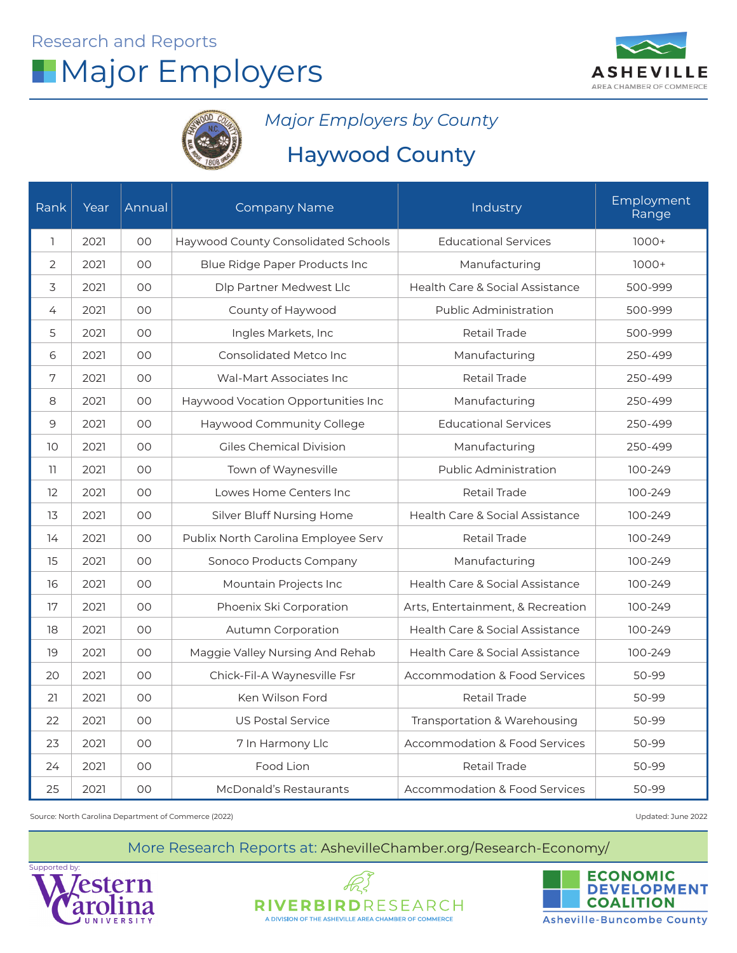



### *Major Employers by County*

## Haywood County

| Rank         | Year | Annual | <b>Company Name</b>                 | Industry                                 | Employment<br>Range |
|--------------|------|--------|-------------------------------------|------------------------------------------|---------------------|
| $\mathbb{I}$ | 2021 | 00     | Haywood County Consolidated Schools | <b>Educational Services</b>              | $1000+$             |
| 2            | 2021 | OO     | Blue Ridge Paper Products Inc       | Manufacturing                            | $1000+$             |
| 3            | 2021 | OO     | Dlp Partner Medwest Llc             | Health Care & Social Assistance          | 500-999             |
| 4            | 2021 | OO     | County of Haywood                   | Public Administration                    | 500-999             |
| 5            | 2021 | OO     | Ingles Markets, Inc                 | <b>Retail Trade</b>                      | 500-999             |
| 6            | 2021 | 00     | Consolidated Metco Inc              | Manufacturing                            | 250-499             |
| 7            | 2021 | 00     | Wal-Mart Associates Inc             | Retail Trade                             | 250-499             |
| 8            | 2021 | OO     | Haywood Vocation Opportunities Inc  | Manufacturing                            | 250-499             |
| 9            | 2021 | OO     | Haywood Community College           | <b>Educational Services</b>              | 250-499             |
| 10           | 2021 | OO     | <b>Giles Chemical Division</b>      | Manufacturing                            | 250-499             |
| 11           | 2021 | OO     | Town of Waynesville                 | <b>Public Administration</b>             | 100-249             |
| 12           | 2021 | 00     | Lowes Home Centers Inc              | <b>Retail Trade</b>                      | 100-249             |
| 13           | 2021 | OO     | Silver Bluff Nursing Home           | Health Care & Social Assistance          | 100-249             |
| 14           | 2021 | OO     | Publix North Carolina Employee Serv | <b>Retail Trade</b>                      | 100-249             |
| 15           | 2021 | OO     | Sonoco Products Company             | Manufacturing                            | 100-249             |
| 16           | 2021 | 00     | Mountain Projects Inc               | Health Care & Social Assistance          | 100-249             |
| 17           | 2021 | 00     | Phoenix Ski Corporation             | Arts, Entertainment, & Recreation        | 100-249             |
| 18           | 2021 | OO     | <b>Autumn Corporation</b>           | Health Care & Social Assistance          | 100-249             |
| 19           | 2021 | OO     | Maggie Valley Nursing And Rehab     | Health Care & Social Assistance          | 100-249             |
| 20           | 2021 | 00     | Chick-Fil-A Waynesville Fsr         | <b>Accommodation &amp; Food Services</b> | 50-99               |
| 21           | 2021 | 00     | Ken Wilson Ford                     | Retail Trade                             | 50-99               |
| 22           | 2021 | OO     | <b>US Postal Service</b>            | Transportation & Warehousing             | 50-99               |
| 23           | 2021 | OO     | 7 In Harmony Llc                    | <b>Accommodation &amp; Food Services</b> | 50-99               |
| 24           | 2021 | OO     | Food Lion                           | Retail Trade                             | 50-99               |
| 25           | 2021 | OO     | McDonald's Restaurants              | <b>Accommodation &amp; Food Services</b> | 50-99               |

Source: North Carolina Department of Commerce (2022)

Updated: June 2022





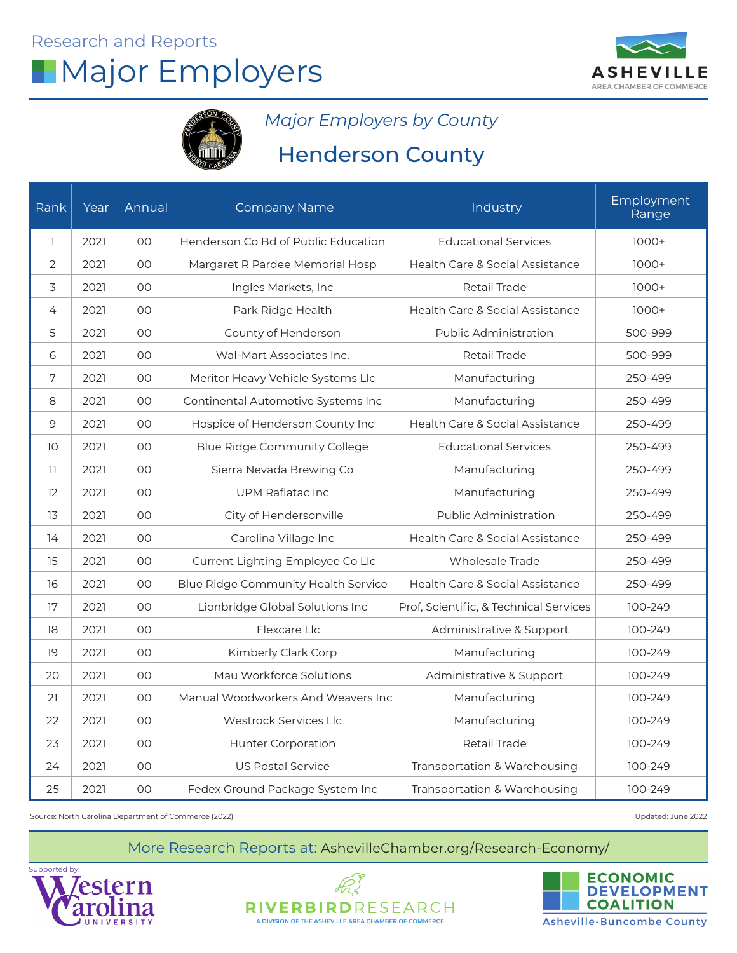



*Major Employers by County*

## Henderson County

| Rank            | Year | Annual | <b>Company Name</b>                 | Industry                               | Employment<br>Range |
|-----------------|------|--------|-------------------------------------|----------------------------------------|---------------------|
| $\mathbb{I}$    | 2021 | OO     | Henderson Co Bd of Public Education | <b>Educational Services</b>            | $1000+$             |
| 2               | 2021 | OO     | Margaret R Pardee Memorial Hosp     | Health Care & Social Assistance        | $1000+$             |
| 3               | 2021 | OO     | Ingles Markets, Inc                 | <b>Retail Trade</b>                    | $1000+$             |
| $\overline{4}$  | 2021 | 00     | Park Ridge Health                   | Health Care & Social Assistance        | $1000+$             |
| 5               | 2021 | OO     | County of Henderson                 | <b>Public Administration</b>           | 500-999             |
| 6               | 2021 | OO     | Wal-Mart Associates Inc.            | <b>Retail Trade</b>                    | 500-999             |
| $\sqrt{ }$      | 2021 | OO     | Meritor Heavy Vehicle Systems Llc   | Manufacturing                          | 250-499             |
| 8               | 2021 | OO     | Continental Automotive Systems Inc  | Manufacturing                          | 250-499             |
| 9               | 2021 | OO     | Hospice of Henderson County Inc     | Health Care & Social Assistance        | 250-499             |
| 10 <sup>°</sup> | 2021 | OO     | <b>Blue Ridge Community College</b> | <b>Educational Services</b>            | 250-499             |
| 11              | 2021 | 00     | Sierra Nevada Brewing Co            | Manufacturing                          | 250-499             |
| 12              | 2021 | OO     | <b>UPM Raflatac Inc</b>             | Manufacturing                          | 250-499             |
| 13              | 2021 | OO     | City of Hendersonville              | <b>Public Administration</b>           | 250-499             |
| 14              | 2021 | OO     | Carolina Village Inc                | Health Care & Social Assistance        | 250-499             |
| 15              | 2021 | OO     | Current Lighting Employee Co Llc    | <b>Wholesale Trade</b>                 | 250-499             |
| 16              | 2021 | 00     | Blue Ridge Community Health Service | Health Care & Social Assistance        | 250-499             |
| 17              | 2021 | OO     | Lionbridge Global Solutions Inc     | Prof, Scientific, & Technical Services | 100-249             |
| 18              | 2021 | OO     | Flexcare Llc                        | Administrative & Support               | 100-249             |
| 19              | 2021 | OO     | Kimberly Clark Corp                 | Manufacturing                          | 100-249             |
| 20              | 2021 | OO     | Mau Workforce Solutions             | Administrative & Support               | 100-249             |
| 21              | 2021 | $00\,$ | Manual Woodworkers And Weavers Inc  | Manufacturing                          | 100-249             |
| 22              | 2021 | 00     | Westrock Services Llc               | Manufacturing                          | 100-249             |
| 23              | 2021 | OO     | <b>Hunter Corporation</b>           | Retail Trade                           | 100-249             |
| 24              | 2021 | OO     | <b>US Postal Service</b>            | Transportation & Warehousing           | 100-249             |
| 25              | 2021 | OO     | Fedex Ground Package System Inc     | Transportation & Warehousing           | 100-249             |

Source: North Carolina Department of Commerce (2022) Updated: June 2022